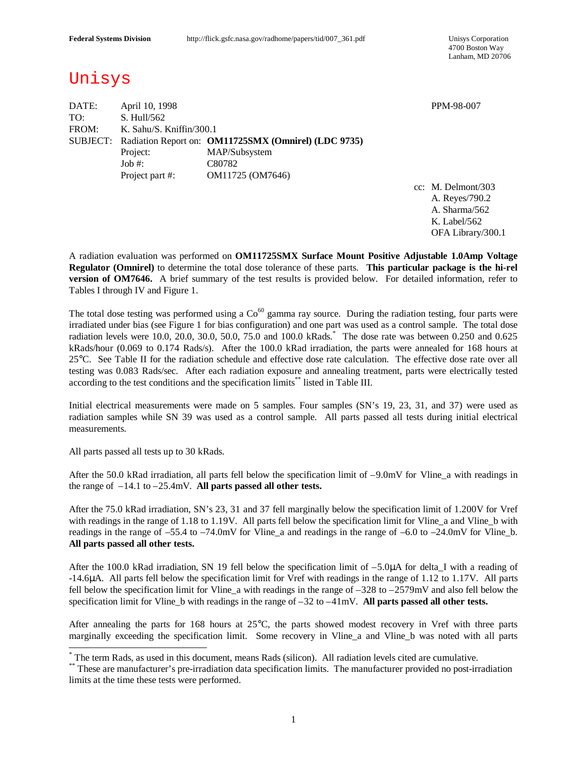4700 Boston Way Lanham, MD 20706

# Unisys

| DATE: | April 10, 1998           |                                                               |  |  |  |  |  |  |  |  |
|-------|--------------------------|---------------------------------------------------------------|--|--|--|--|--|--|--|--|
| TO:   | S. Hull/562              |                                                               |  |  |  |  |  |  |  |  |
| FROM: | K. Sahu/S. Kniffin/300.1 |                                                               |  |  |  |  |  |  |  |  |
|       |                          | SUBJECT: Radiation Report on: OM11725SMX (Omnirel) (LDC 9735) |  |  |  |  |  |  |  |  |
|       | Project:                 | MAP/Subsystem                                                 |  |  |  |  |  |  |  |  |
|       | $Job \#$ :               | C80782                                                        |  |  |  |  |  |  |  |  |
|       | Project part #:          | OM11725 (OM7646)                                              |  |  |  |  |  |  |  |  |
|       |                          |                                                               |  |  |  |  |  |  |  |  |

cc: M. Delmont/303 A. Reyes/790.2 A. Sharma/562 K. Label/562 OFA Library/300.1

PPM-98-007

A radiation evaluation was performed on **OM11725SMX Surface Mount Positive Adjustable 1.0Amp Voltage Regulator (Omnirel)** to determine the total dose tolerance of these parts. **This particular package is the hi-rel version of OM7646.** A brief summary of the test results is provided below. For detailed information, refer to Tables I through IV and Figure 1.

The total dose testing was performed using a  $Co<sup>60</sup>$  gamma ray source. During the radiation testing, four parts were irradiated under bias (see Figure 1 for bias configuration) and one part was used as a control sample. The total dose radiation levels were 10.0, 20.0, 30.0, 50.0, 75.0 and 100.0 kRads. \* The dose rate was between 0.250 and 0.625 kRads/hour (0.069 to 0.174 Rads/s). After the 100.0 kRad irradiation, the parts were annealed for 168 hours at 25°C. See Table II for the radiation schedule and effective dose rate calculation. The effective dose rate over all testing was 0.083 Rads/sec. After each radiation exposure and annealing treatment, parts were electrically tested according to the test conditions and the specification limits<sup>\*\*</sup> listed in Table III.

Initial electrical measurements were made on 5 samples. Four samples (SN's 19, 23, 31, and 37) were used as radiation samples while SN 39 was used as a control sample. All parts passed all tests during initial electrical measurements.

All parts passed all tests up to 30 kRads.

 $\overline{a}$ 

After the 50.0 kRad irradiation, all parts fell below the specification limit of –9.0mV for Vline\_a with readings in the range of –14.1 to –25.4mV. **All parts passed all other tests.**

After the 75.0 kRad irradiation, SN's 23, 31 and 37 fell marginally below the specification limit of 1.200V for Vref with readings in the range of 1.18 to 1.19V. All parts fell below the specification limit for Vline a and Vline b with readings in the range of  $-55.4$  to  $-74.0$ mV for Vline a and readings in the range of  $-6.0$  to  $-24.0$ mV for Vline b. **All parts passed all other tests.**

After the 100.0 kRad irradiation, SN 19 fell below the specification limit of  $-5.0\mu\text{A}$  for delta I with a reading of -14.6μA. All parts fell below the specification limit for Vref with readings in the range of 1.12 to 1.17V. All parts fell below the specification limit for Vline a with readings in the range of  $-328$  to  $-2579$ mV and also fell below the specification limit for Vline\_b with readings in the range of –32 to –41mV. **All parts passed all other tests.**

After annealing the parts for 168 hours at 25°C, the parts showed modest recovery in Vref with three parts marginally exceeding the specification limit. Some recovery in Vline a and Vline b was noted with all parts

<sup>\*</sup> The term Rads, as used in this document, means Rads (silicon). All radiation levels cited are cumulative.

<sup>\*\*</sup> These are manufacturer's pre-irradiation data specification limits. The manufacturer provided no post-irradiation limits at the time these tests were performed.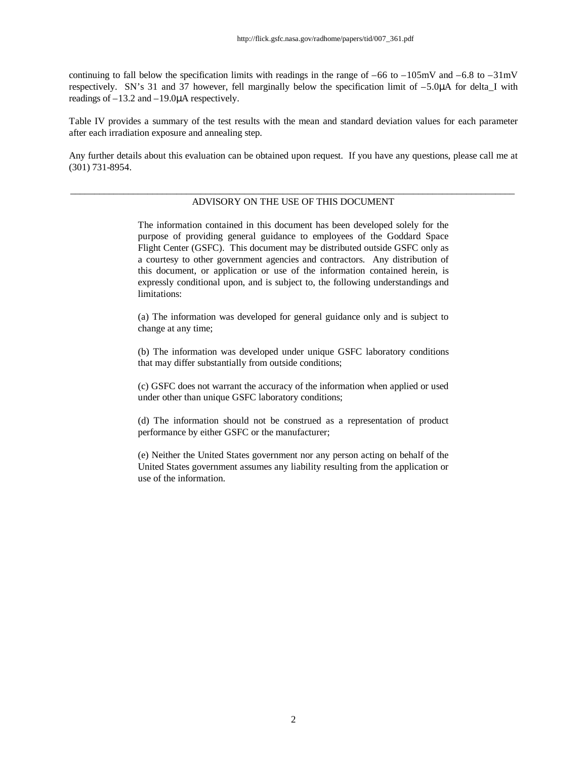continuing to fall below the specification limits with readings in the range of  $-66$  to  $-105$ mV and  $-6.8$  to  $-31$ mV respectively. SN's 31 and 37 however, fell marginally below the specification limit of  $-5.0\mu A$  for delta I with readings of –13.2 and –19.0μA respectively.

Table IV provides a summary of the test results with the mean and standard deviation values for each parameter after each irradiation exposure and annealing step.

Any further details about this evaluation can be obtained upon request. If you have any questions, please call me at (301) 731-8954.

#### \_\_\_\_\_\_\_\_\_\_\_\_\_\_\_\_\_\_\_\_\_\_\_\_\_\_\_\_\_\_\_\_\_\_\_\_\_\_\_\_\_\_\_\_\_\_\_\_\_\_\_\_\_\_\_\_\_\_\_\_\_\_\_\_\_\_\_\_\_\_\_\_\_\_\_\_\_\_\_\_\_\_\_\_\_\_\_\_\_\_\_\_ ADVISORY ON THE USE OF THIS DOCUMENT

The information contained in this document has been developed solely for the purpose of providing general guidance to employees of the Goddard Space Flight Center (GSFC). This document may be distributed outside GSFC only as a courtesy to other government agencies and contractors. Any distribution of this document, or application or use of the information contained herein, is expressly conditional upon, and is subject to, the following understandings and limitations:

(a) The information was developed for general guidance only and is subject to change at any time;

(b) The information was developed under unique GSFC laboratory conditions that may differ substantially from outside conditions;

(c) GSFC does not warrant the accuracy of the information when applied or used under other than unique GSFC laboratory conditions;

(d) The information should not be construed as a representation of product performance by either GSFC or the manufacturer;

(e) Neither the United States government nor any person acting on behalf of the United States government assumes any liability resulting from the application or use of the information.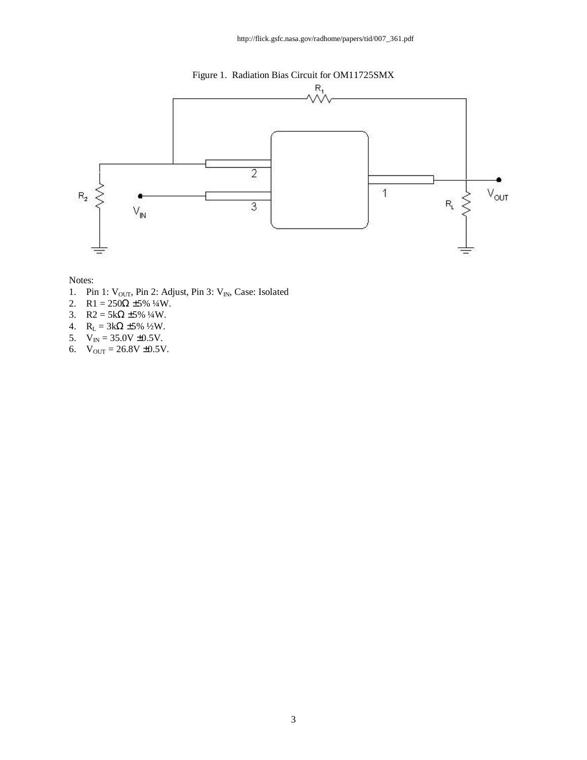



- 1. Pin 1:  $V_{OUT}$ , Pin 2: Adjust, Pin 3:  $V_{IN}$ , Case: Isolated
- 2. R1 =  $250\Omega \pm 5\%$  ¼W.
- 3. R2 =  $5k\Omega \pm 5\%$  ¼W.
- 4.  $R_L = 3kΩ ±5%$  <sup>1</sup>/<sub>2</sub>W.
- 5.  $V_{IN} = 35.0V \pm 0.5V$ .
- 6.  $V_{\text{OUT}} = 26.8V \pm 0.5V$ .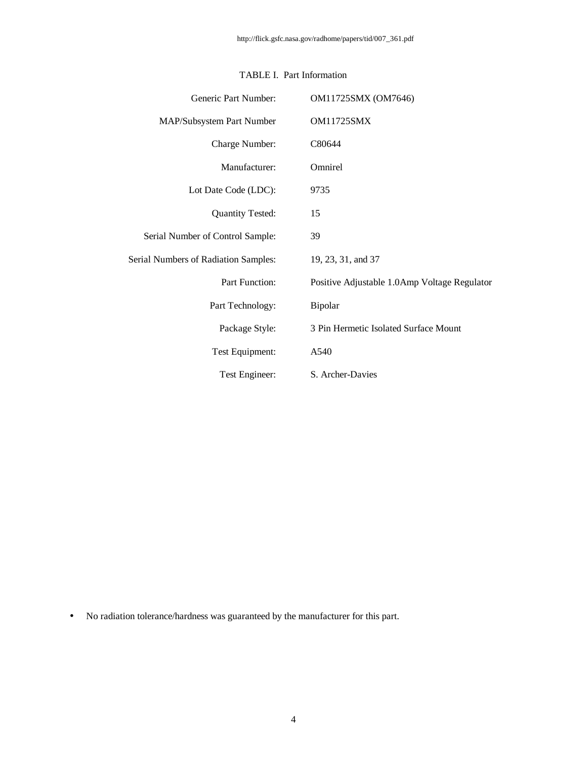| Generic Part Number:                        | OM11725SMX (OM7646)                          |
|---------------------------------------------|----------------------------------------------|
| MAP/Subsystem Part Number                   | <b>OM11725SMX</b>                            |
| Charge Number:                              | C80644                                       |
| Manufacturer:                               | Omnirel                                      |
| Lot Date Code (LDC):                        | 9735                                         |
| <b>Quantity Tested:</b>                     | 15                                           |
| Serial Number of Control Sample:            | 39                                           |
| <b>Serial Numbers of Radiation Samples:</b> | 19, 23, 31, and 37                           |
| Part Function:                              | Positive Adjustable 1.0Amp Voltage Regulator |
| Part Technology:                            | Bipolar                                      |
| Package Style:                              | 3 Pin Hermetic Isolated Surface Mount        |
| Test Equipment:                             | A540                                         |
| Test Engineer:                              | S. Archer-Davies                             |

### TABLE I. Part Information

• No radiation tolerance/hardness was guaranteed by the manufacturer for this part.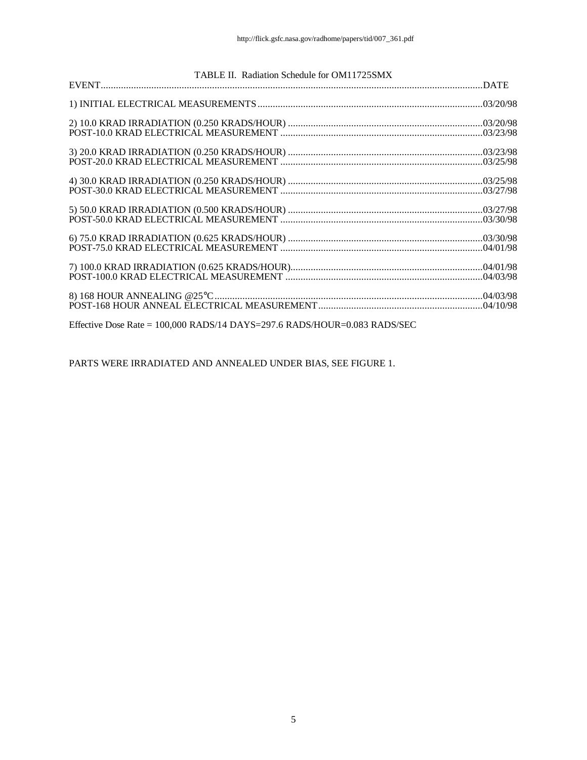| TABLE II. Radiation Schedule for OM11725SMX                                 |  |
|-----------------------------------------------------------------------------|--|
|                                                                             |  |
|                                                                             |  |
|                                                                             |  |
|                                                                             |  |
|                                                                             |  |
|                                                                             |  |
|                                                                             |  |
|                                                                             |  |
|                                                                             |  |
|                                                                             |  |
|                                                                             |  |
|                                                                             |  |
|                                                                             |  |
|                                                                             |  |
|                                                                             |  |
|                                                                             |  |
|                                                                             |  |
|                                                                             |  |
| Effective Dose Rate = $100,000$ RADS/14 DAYS=297.6 RADS/HOUR=0.083 RADS/SEC |  |

PARTS WERE IRRADIATED AND ANNEALED UNDER BIAS, SEE FIGURE 1.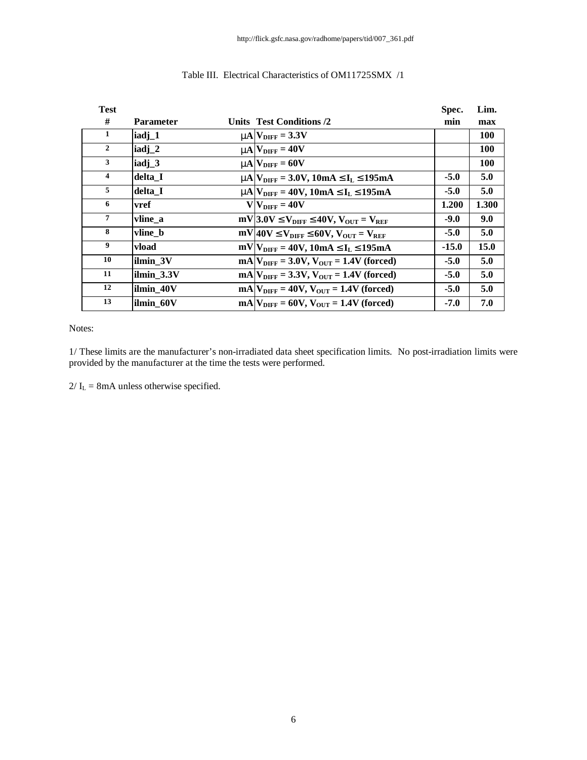| <b>Test</b>         |                   |                                                                         | Spec.   | Lim.       |
|---------------------|-------------------|-------------------------------------------------------------------------|---------|------------|
| #                   | <b>Parameter</b>  | Units Test Conditions /2                                                | min     | max        |
| $\mathbf{1}$        | iadj_1            | $mN_{\text{DIFF}} = 3.3V$                                               |         | 100        |
| $\overline{2}$      | iadj_2            | $mN_{\text{DIFF}} = 40V$                                                |         | <b>100</b> |
| 3                   | iadj <sub>3</sub> | $mN_{\text{DIFF}} = 60V$                                                |         | 100        |
| $\overline{\bf{4}}$ | delta I           | $mN_{\text{DIFF}} = 3.0V, 10mA \mathcal{L}I_L \mathcal{L}195mA$         | $-5.0$  | 5.0        |
| 5                   | delta I           | $mA$ $V_{\text{DIFF}}$ = 40V, 10mA £I <sub>L</sub> £195mA               | $-5.0$  | 5.0        |
| 6                   | vref              | $V$ $V_{\text{DIFF}} = 40V$                                             | 1.200   | 1.300      |
| 7                   | vline a           | $mV$ 3.0V £ $V_{\text{DIFF}}$ £40V, $V_{\text{OUT}}$ = $V_{\text{REF}}$ | $-9.0$  | 9.0        |
| 8                   | vline b           | $mV$ 40V £ $V_{\text{DIFF}}$ £60V, $V_{\text{OUT}} = V_{\text{REF}}$    | $-5.0$  | 5.0        |
| 9                   | vload             | $mV V_{\text{DIFF}} = 40V, 10mA \mathcal{L}I_L \mathcal{L}195mA$        | $-15.0$ | 15.0       |
| 10                  | ilmin 3V          | $mA V_{\text{DIFF}} = 3.0V, V_{\text{OUT}} = 1.4V$ (forced)             | $-5.0$  | 5.0        |
| 11                  | ilmin_3.3V        | $mA V_{\text{DIFF}} = 3.3V, V_{\text{OUT}} = 1.4V \text{ (forced)}$     | $-5.0$  | 5.0        |
| 12                  | ilmin 40V         | $mA V_{\text{DIFF}} = 40V, V_{\text{OUT}} = 1.4V \text{ (forced)}$      | $-5.0$  | 5.0        |
| 13                  | ilmin 60V         | $mAV_{\text{DIFF}} = 60V$ , $V_{\text{OUT}} = 1.4V$ (forced)            | $-7.0$  | 7.0        |

### Table III. Electrical Characteristics of OM11725SMX /1

Notes:

1/ These limits are the manufacturer's non-irradiated data sheet specification limits. No post-irradiation limits were provided by the manufacturer at the time the tests were performed.

 $2/\mathrm{I}_\mathrm{L} = 8\mathrm{mA}$  unless otherwise specified.